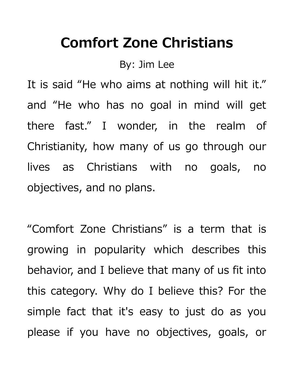## **Comfort Zone Christians**

By: Jim Lee

It is said "He who aims at nothing will hit it." and "He who has no goal in mind will get there fast." I wonder, in the realm of Christianity, how many of us go through our lives as Christians with no goals, no objectives, and no plans.

"Comfort Zone Christians" is a term that is growing in popularity which describes this behavior, and I believe that many of us fit into this category. Why do I believe this? For the simple fact that it's easy to just do as you please if you have no objectives, goals, or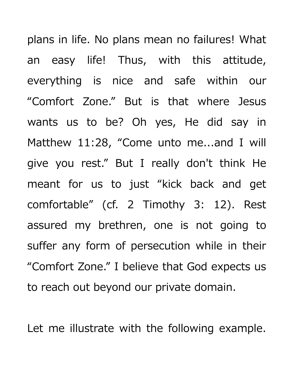plans in life. No plans mean no failures! What an easy life! Thus, with this attitude, everything is nice and safe within our "Comfort Zone." But is that where Jesus wants us to be? Oh yes, He did say in Matthew 11:28, "Come unto me...and I will give you rest." But I really don't think He meant for us to just "kick back and get comfortable" (cf. 2 Timothy 3: 12). Rest assured my brethren, one is not going to suffer any form of persecution while in their "Comfort Zone." I believe that God expects us to reach out beyond our private domain.

Let me illustrate with the following example.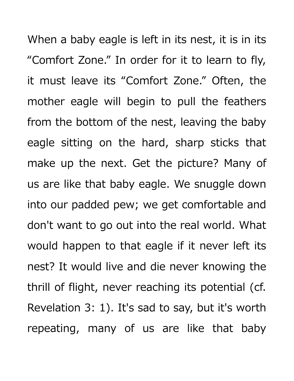When a baby eagle is left in its nest, it is in its "Comfort Zone." In order for it to learn to fly, it must leave its "Comfort Zone." Often, the mother eagle will begin to pull the feathers from the bottom of the nest, leaving the baby eagle sitting on the hard, sharp sticks that make up the next. Get the picture? Many of us are like that baby eagle. We snuggle down into our padded pew; we get comfortable and don't want to go out into the real world. What would happen to that eagle if it never left its nest? It would live and die never knowing the thrill of flight, never reaching its potential (cf. Revelation 3: 1). It's sad to say, but it's worth repeating, many of us are like that baby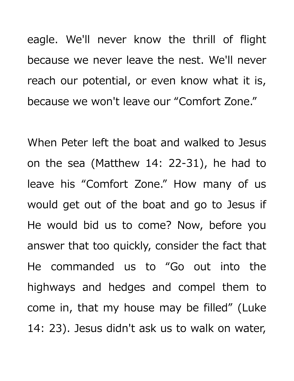eagle. We'll never know the thrill of flight because we never leave the nest. We'll never reach our potential, or even know what it is, because we won't leave our "Comfort Zone."

When Peter left the boat and walked to Jesus on the sea (Matthew 14: 22-31), he had to leave his "Comfort Zone." How many of us would get out of the boat and go to Jesus if He would bid us to come? Now, before you answer that too quickly, consider the fact that He commanded us to "Go out into the highways and hedges and compel them to come in, that my house may be filled" (Luke 14: 23). Jesus didn't ask us to walk on water,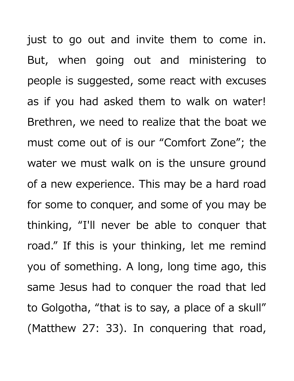just to go out and invite them to come in. But, when going out and ministering to people is suggested, some react with excuses as if you had asked them to walk on water! Brethren, we need to realize that the boat we must come out of is our "Comfort Zone"; the water we must walk on is the unsure ground of a new experience. This may be a hard road for some to conquer, and some of you may be thinking, "I'll never be able to conquer that road." If this is your thinking, let me remind you of something. A long, long time ago, this same Jesus had to conquer the road that led to Golgotha, "that is to say, a place of a skull" (Matthew 27: 33). In conquering that road,